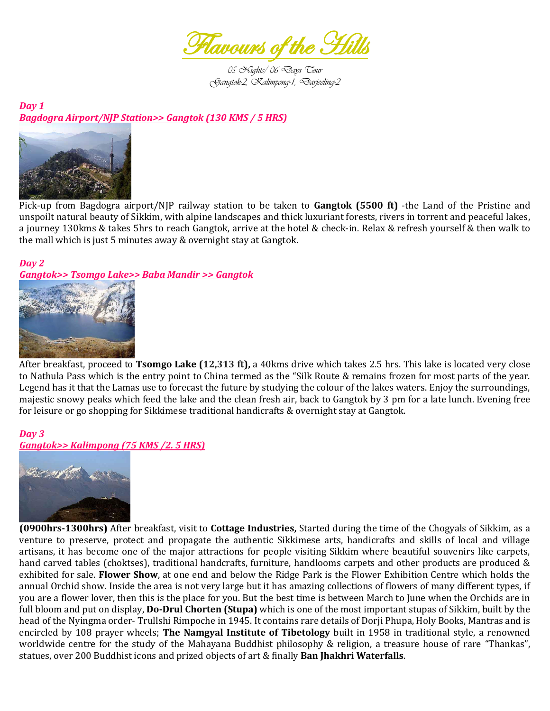

*05 Nights/ 06 Days Tour Gangtok-2, Kalimpong-1, Darjeeling-2* 

*Day 1 Bagdogra Airport/NJP Station>> Gangtok (130 KMS / 5 HRS)* 



Pick-up from Bagdogra airport/NJP railway station to be taken to **Gangtok (5500 ft)** -the Land of the Pristine and unspoilt natural beauty of Sikkim, with alpine landscapes and thick luxuriant forests, rivers in torrent and peaceful lakes, a journey 130kms & takes 5hrs to reach Gangtok, arrive at the hotel & check-in. Relax & refresh yourself & then walk to the mall which is just 5 minutes away & overnight stay at Gangtok.

## *Day 2*

*Gangtok>> Tsomgo Lake>> Baba Mandir >> Gangtok* 



After breakfast, proceed to **Tsomgo Lake (12,313 ft),** a 40kms drive which takes 2.5 hrs. This lake is located very close to Nathula Pass which is the entry point to China termed as the "Silk Route & remains frozen for most parts of the year. Legend has it that the Lamas use to forecast the future by studying the colour of the lakes waters. Enjoy the surroundings, majestic snowy peaks which feed the lake and the clean fresh air, back to Gangtok by 3 pm for a late lunch. Evening free for leisure or go shopping for Sikkimese traditional handicrafts & overnight stay at Gangtok.

#### *Day 3 Gangtok>> Kalimpong (75 KMS /2. 5 HRS)*



**(0900hrs-1300hrs)** After breakfast, visit to **Cottage Industries,** Started during the time of the Chogyals of Sikkim, as a venture to preserve, protect and propagate the authentic Sikkimese arts, handicrafts and skills of local and village artisans, it has become one of the major attractions for people visiting Sikkim where beautiful souvenirs like carpets, hand carved tables (choktses), traditional handcrafts, furniture, handlooms carpets and other products are produced & exhibited for sale. **Flower Show**, at one end and below the Ridge Park is the Flower Exhibition Centre which holds the annual Orchid show. Inside the area is not very large but it has amazing collections of flowers of many different types, if you are a flower lover, then this is the place for you. But the best time is between March to June when the Orchids are in full bloom and put on display, **Do-Drul Chorten (Stupa)** which is one of the most important stupas of Sikkim, built by the head of the Nyingma order- Trullshi Rimpoche in 1945. It contains rare details of Dorji Phupa, Holy Books, Mantras and is encircled by 108 prayer wheels; **The Namgyal Institute of Tibetology** built in 1958 in traditional style, a renowned worldwide centre for the study of the Mahayana Buddhist philosophy & religion, a treasure house of rare "Thankas", statues, over 200 Buddhist icons and prized objects of art & finally **Ban Jhakhri Waterfalls**.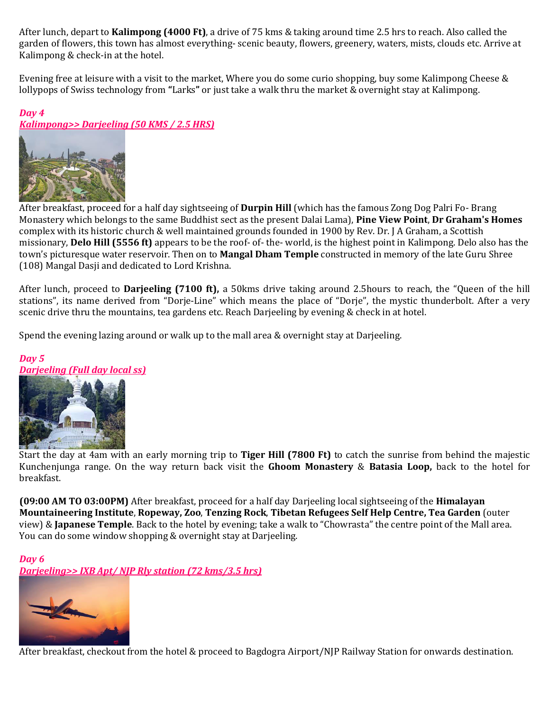After lunch, depart to **Kalimpong (4000 Ft)**, a drive of 75 kms & taking around time 2.5 hrs to reach. Also called the garden of flowers, this town has almost everything- scenic beauty, flowers, greenery, waters, mists, clouds etc. Arrive at Kalimpong & check-in at the hotel.

Evening free at leisure with a visit to the market, Where you do some curio shopping, buy some Kalimpong Cheese & lollypops of Swiss technology from **"**Larks**"** or just take a walk thru the market & overnight stay at Kalimpong.

## *Day 4*

## *Kalimpong>> Darjeeling (50 KMS / 2.5 HRS)*



After breakfast, proceed for a half day sightseeing of **Durpin Hill** (which has the famous Zong Dog Palri Fo- Brang Monastery which belongs to the same Buddhist sect as the present Dalai Lama), **Pine View Point**, **Dr Graham's Homes** complex with its historic church & well maintained grounds founded in 1900 by Rev. Dr. J A Graham, a Scottish missionary, **Delo Hill (5556 ft)** appears to be the roof- of- the- world, is the highest point in Kalimpong. Delo also has the town's picturesque water reservoir. Then on to **Mangal Dham Temple** constructed in memory of the late Guru Shree (108) Mangal Dasji and dedicated to Lord Krishna.

After lunch, proceed to **Darjeeling (7100 ft),** a 50kms drive taking around 2.5hours to reach, the "Queen of the hill stations", its name derived from "Dorje-Line" which means the place of "Dorje", the mystic thunderbolt. After a very scenic drive thru the mountains, tea gardens etc. Reach Darjeeling by evening & check in at hotel.

Spend the evening lazing around or walk up to the mall area & overnight stay at Darjeeling.

# *Day 5 Darjeeling (Full day local ss)*



Start the day at 4am with an early morning trip to **Tiger Hill (7800 Ft)** to catch the sunrise from behind the majestic Kunchenjunga range. On the way return back visit the **Ghoom Monastery** & **Batasia Loop,** back to the hotel for breakfast.

**(09:00 AM TO 03:00PM)** After breakfast, proceed for a half day Darjeeling local sightseeing of the **Himalayan Mountaineering Institute**, **Ropeway, Zoo**, **Tenzing Rock**, **Tibetan Refugees Self Help Centre, Tea Garden** (outer view) & **Japanese Temple**. Back to the hotel by evening; take a walk to "Chowrasta" the centre point of the Mall area. You can do some window shopping & overnight stay at Darjeeling.

#### *Day 6*

*Darjeeling>> IXB Apt/ NJP Rly station (72 kms/3.5 hrs)* 



After breakfast, checkout from the hotel & proceed to Bagdogra Airport/NJP Railway Station for onwards destination.